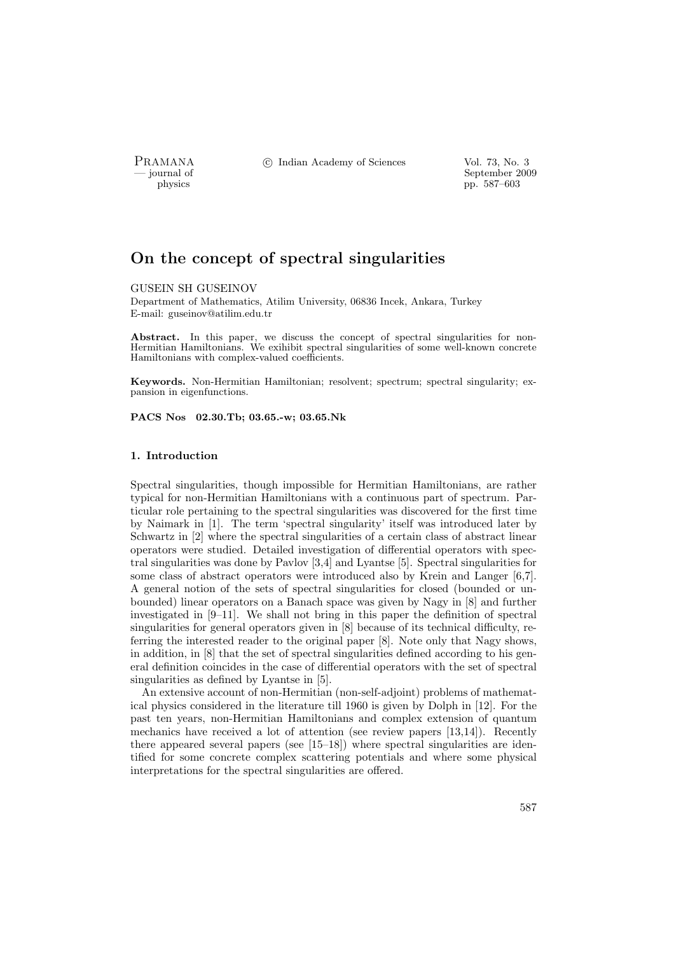PRAMANA °c Indian Academy of Sciences Vol. 73, No. 3

physics and the september 2009 of September 2009 of September 2009 of September 2009 of September 2009 of September 2009 of September 2009 of September 2009 of September 2009 of September 2009 of September 2009 of Septembe pp. 587–603

# On the concept of spectral singularities

#### GUSEIN SH GUSEINOV

Department of Mathematics, Atilim University, 06836 Incek, Ankara, Turkey E-mail: guseinov@atilim.edu.tr

Abstract. In this paper, we discuss the concept of spectral singularities for non-Hermitian Hamiltonians. We exihibit spectral singularities of some well-known concrete Hamiltonians with complex-valued coefficients.

Keywords. Non-Hermitian Hamiltonian; resolvent; spectrum; spectral singularity; expansion in eigenfunctions.

PACS Nos 02.30.Tb; 03.65.-w; 03.65.Nk

## 1. Introduction

Spectral singularities, though impossible for Hermitian Hamiltonians, are rather typical for non-Hermitian Hamiltonians with a continuous part of spectrum. Particular role pertaining to the spectral singularities was discovered for the first time by Naimark in [1]. The term 'spectral singularity' itself was introduced later by Schwartz in [2] where the spectral singularities of a certain class of abstract linear operators were studied. Detailed investigation of differential operators with spectral singularities was done by Pavlov [3,4] and Lyantse [5]. Spectral singularities for some class of abstract operators were introduced also by Krein and Langer [6,7]. A general notion of the sets of spectral singularities for closed (bounded or unbounded) linear operators on a Banach space was given by Nagy in [8] and further investigated in [9–11]. We shall not bring in this paper the definition of spectral singularities for general operators given in [8] because of its technical difficulty, referring the interested reader to the original paper [8]. Note only that Nagy shows, in addition, in [8] that the set of spectral singularities defined according to his general definition coincides in the case of differential operators with the set of spectral singularities as defined by Lyantse in [5].

An extensive account of non-Hermitian (non-self-adjoint) problems of mathematical physics considered in the literature till 1960 is given by Dolph in [12]. For the past ten years, non-Hermitian Hamiltonians and complex extension of quantum mechanics have received a lot of attention (see review papers [13,14]). Recently there appeared several papers (see [15–18]) where spectral singularities are identified for some concrete complex scattering potentials and where some physical interpretations for the spectral singularities are offered.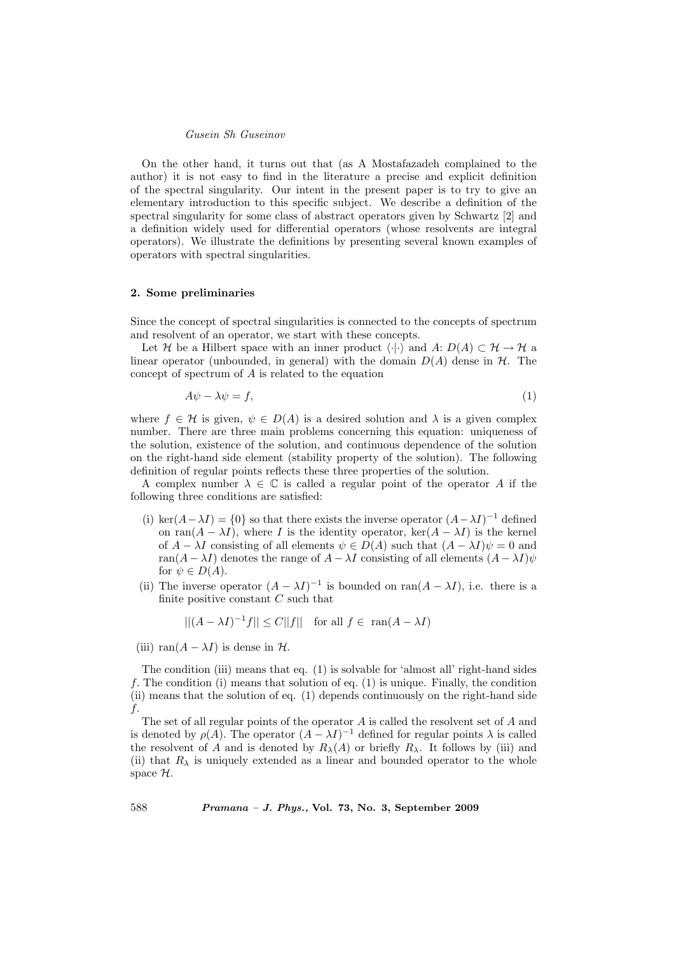On the other hand, it turns out that (as A Mostafazadeh complained to the author) it is not easy to find in the literature a precise and explicit definition of the spectral singularity. Our intent in the present paper is to try to give an elementary introduction to this specific subject. We describe a definition of the spectral singularity for some class of abstract operators given by Schwartz [2] and a definition widely used for differential operators (whose resolvents are integral operators). We illustrate the definitions by presenting several known examples of operators with spectral singularities.

## 2. Some preliminaries

Since the concept of spectral singularities is connected to the concepts of spectrum and resolvent of an operator, we start with these concepts.

Let H be a Hilbert space with an inner product  $\langle \cdot | \cdot \rangle$  and  $A: D(A) \subset \mathcal{H} \to \mathcal{H}$  a linear operator (unbounded, in general) with the domain  $D(A)$  dense in  $H$ . The concept of spectrum of A is related to the equation

$$
A\psi - \lambda \psi = f,\tag{1}
$$

where  $f \in \mathcal{H}$  is given,  $\psi \in D(A)$  is a desired solution and  $\lambda$  is a given complex number. There are three main problems concerning this equation: uniqueness of the solution, existence of the solution, and continuous dependence of the solution on the right-hand side element (stability property of the solution). The following definition of regular points reflects these three properties of the solution.

A complex number  $\lambda \in \mathbb{C}$  is called a regular point of the operator A if the following three conditions are satisfied:

- (i) ker( $A \lambda I$ ) = {0} so that there exists the inverse operator  $(A \lambda I)^{-1}$  defined on ran( $A - \lambda I$ ), where I is the identity operator, ker( $A - \lambda I$ ) is the kernel of  $A - \lambda I$  consisting of all elements  $\psi \in D(A)$  such that  $(A - \lambda I)\psi = 0$  and ran( $A - \lambda I$ ) denotes the range of  $A - \lambda I$  consisting of all elements  $(A - \lambda I)\psi$ for  $\psi \in D(A)$ .
- (ii) The inverse operator  $(A \lambda I)^{-1}$  is bounded on ran $(A \lambda I)$ , i.e. there is a finite positive constant  $C$  such that

$$
||(A - \lambda I)^{-1}f|| \le C||f|| \quad \text{for all } f \in \text{ ran}(A - \lambda I)
$$

(iii) ran( $A - \lambda I$ ) is dense in  $H$ .

The condition (iii) means that eq. (1) is solvable for 'almost all' right-hand sides f. The condition (i) means that solution of eq.  $(1)$  is unique. Finally, the condition (ii) means that the solution of eq. (1) depends continuously on the right-hand side f.

The set of all regular points of the operator A is called the resolvent set of A and is denoted by  $\rho(A)$ . The operator  $(A - \lambda I)^{-1}$  defined for regular points  $\lambda$  is called the resolvent of A and is denoted by  $R_{\lambda}(A)$  or briefly  $R_{\lambda}$ . It follows by (iii) and (ii) that  $R_{\lambda}$  is uniquely extended as a linear and bounded operator to the whole space H.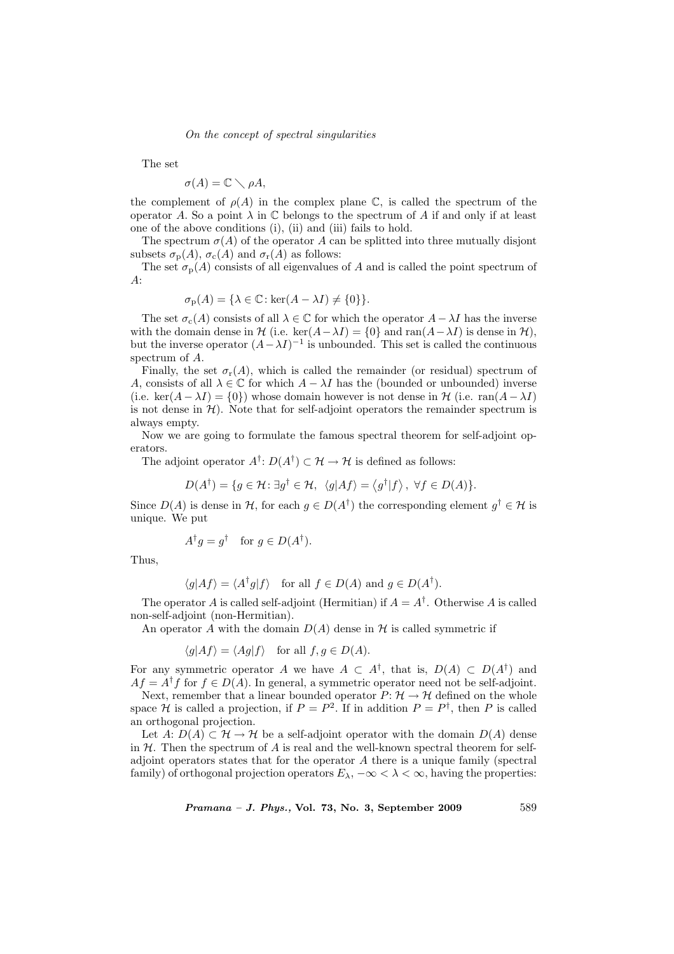The set

$$
\sigma(A) = \mathbb{C} \setminus \rho A,
$$

the complement of  $\rho(A)$  in the complex plane C, is called the spectrum of the operator A. So a point  $\lambda$  in  $\mathbb C$  belongs to the spectrum of A if and only if at least one of the above conditions (i), (ii) and (iii) fails to hold.

The spectrum  $\sigma(A)$  of the operator A can be splitted into three mutually disjont subsets  $\sigma_{\rm p}(A)$ ,  $\sigma_{\rm c}(A)$  and  $\sigma_{\rm r}(A)$  as follows:

The set  $\sigma_p(A)$  consists of all eigenvalues of A and is called the point spectrum of A:

$$
\sigma_{\mathbf{p}}(A) = \{ \lambda \in \mathbb{C} : \ker(A - \lambda I) \neq \{0\} \}.
$$

The set  $\sigma_c(A)$  consists of all  $\lambda \in \mathbb{C}$  for which the operator  $A - \lambda I$  has the inverse with the domain dense in  $\mathcal{H}$  (i.e. ker $(A-\lambda I) = \{0\}$  and ran $(A-\lambda I)$  is dense in  $\mathcal{H}$ ), but the inverse operator  $(A - \lambda I)^{-1}$  is unbounded. This set is called the continuous spectrum of A.

Finally, the set  $\sigma_{r}(A)$ , which is called the remainder (or residual) spectrum of A, consists of all  $\lambda \in \mathbb{C}$  for which  $A - \lambda I$  has the (bounded or unbounded) inverse (i.e. ker( $A - \lambda I$ ) = {0}) whose domain however is not dense in  $\mathcal{H}$  (i.e. ran( $A - \lambda I$ ) is not dense in  $H$ ). Note that for self-adjoint operators the remainder spectrum is always empty.

Now we are going to formulate the famous spectral theorem for self-adjoint operators.

The adjoint operator  $A^{\dagger}$ :  $D(A^{\dagger}) \subset \mathcal{H} \to \mathcal{H}$  is defined as follows:

$$
D(A^{\dagger}) = \{ g \in \mathcal{H} : \exists g^{\dagger} \in \mathcal{H}, \ \langle g | Af \rangle = \langle g^{\dagger} | f \rangle, \ \forall f \in D(A) \}.
$$

Since  $D(A)$  is dense in H, for each  $g \in D(A^{\dagger})$  the corresponding element  $g^{\dagger} \in \mathcal{H}$  is unique. We put

$$
A^{\dagger}g = g^{\dagger} \quad \text{for } g \in D(A^{\dagger}).
$$

Thus,

$$
\langle g|Af\rangle = \langle A^{\dagger}g|f\rangle
$$
 for all  $f \in D(A)$  and  $g \in D(A^{\dagger}).$ 

The operator A is called self-adjoint (Hermitian) if  $A = A^{\dagger}$ . Otherwise A is called non-self-adjoint (non-Hermitian).

An operator A with the domain  $D(A)$  dense in H is called symmetric if

$$
\langle g|Af\rangle = \langle Ag|f\rangle
$$
 for all  $f, g \in D(A)$ .

For any symmetric operator A we have  $A \subset A^{\dagger}$ , that is,  $D(A) \subset D(A^{\dagger})$  and  $Af = A^{\dagger}f$  for  $f \in D(A)$ . In general, a symmetric operator need not be self-adjoint.

Next, remember that a linear bounded operator  $P: \mathcal{H} \to \mathcal{H}$  defined on the whole space H is called a projection, if  $P = P^2$ . If in addition  $P = P^{\dagger}$ , then P is called an orthogonal projection.

Let A:  $D(A) \subset \mathcal{H} \to \mathcal{H}$  be a self-adjoint operator with the domain  $D(A)$  dense in  $H$ . Then the spectrum of A is real and the well-known spectral theorem for selfadjoint operators states that for the operator A there is a unique family (spectral family) of orthogonal projection operators  $E_{\lambda}$ ,  $-\infty < \lambda < \infty$ , having the properties: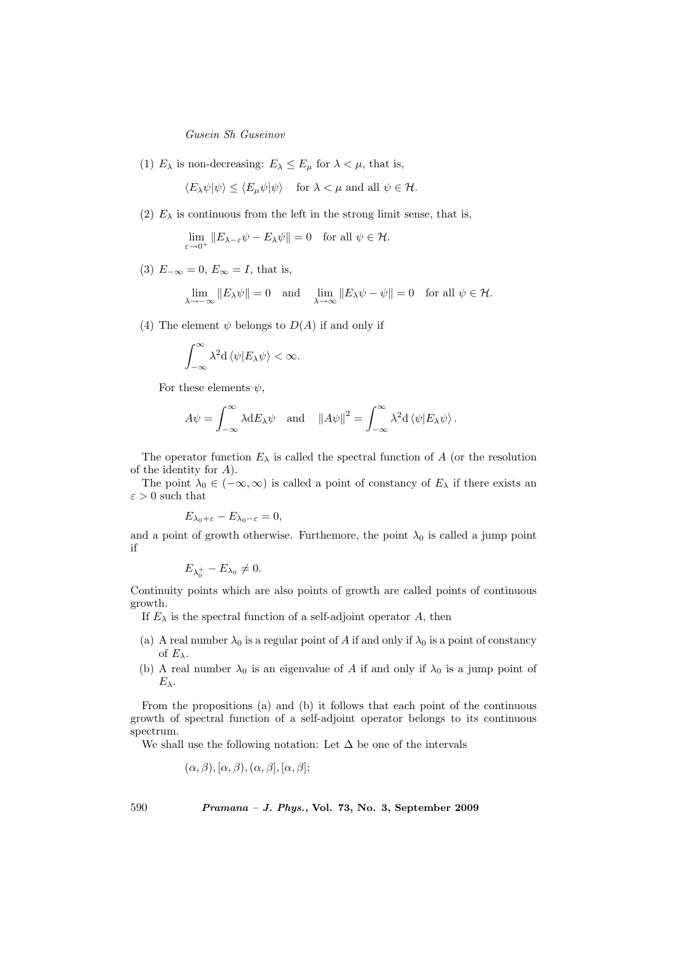(1)  $E_{\lambda}$  is non-decreasing:  $E_{\lambda} \leq E_{\mu}$  for  $\lambda < \mu$ , that is,

 $\langle E_\lambda \psi | \psi \rangle \leq \langle E_\mu \psi | \psi \rangle$  for  $\lambda < \mu$  and all  $\psi \in \mathcal{H}$ .

(2)  $E_{\lambda}$  is continuous from the left in the strong limit sense, that is,

 $\lim_{\varepsilon \to 0^+} ||E_{\lambda - \varepsilon} \psi - E_{\lambda} \psi|| = 0 \text{ for all } \psi \in \mathcal{H}.$ 

(3)  $E_{-\infty} = 0$ ,  $E_{\infty} = I$ , that is,

$$
\lim_{\lambda \to -\infty} \|E_{\lambda}\psi\| = 0 \text{ and } \lim_{\lambda \to \infty} \|E_{\lambda}\psi - \psi\| = 0 \text{ for all } \psi \in \mathcal{H}.
$$

(4) The element  $\psi$  belongs to  $D(A)$  if and only if

$$
\int_{-\infty}^{\infty} \lambda^2 d \langle \psi | E_{\lambda} \psi \rangle < \infty.
$$

For these elements  $\psi$ ,

$$
A\psi = \int_{-\infty}^{\infty} \lambda \mathrm{d}E_{\lambda}\psi \quad \text{and} \quad ||A\psi||^2 = \int_{-\infty}^{\infty} \lambda^2 \mathrm{d}\left\langle \psi | E_{\lambda}\psi \right\rangle.
$$

The operator function  $E_{\lambda}$  is called the spectral function of A (or the resolution of the identity for A).

The point  $\lambda_0 \in (-\infty, \infty)$  is called a point of constancy of  $E_\lambda$  if there exists an  $\varepsilon>0$  such that

$$
E_{\lambda_0+\varepsilon}-E_{\lambda_0-\varepsilon}=0,
$$

and a point of growth otherwise. Furthemore, the point  $\lambda_0$  is called a jump point if

$$
E_{\lambda_0^+}-E_{\lambda_0}\neq 0.
$$

Continuity points which are also points of growth are called points of continuous growth.

If  $E_{\lambda}$  is the spectral function of a self-adjoint operator A, then

- (a) A real number  $\lambda_0$  is a regular point of A if and only if  $\lambda_0$  is a point of constancy of  $E_\lambda$ .
- (b) A real number  $\lambda_0$  is an eigenvalue of A if and only if  $\lambda_0$  is a jump point of  $E_{\lambda}$ .

From the propositions (a) and (b) it follows that each point of the continuous growth of spectral function of a self-adjoint operator belongs to its continuous spectrum.

We shall use the following notation: Let  $\Delta$  be one of the intervals

 $(\alpha, \beta), [\alpha, \beta), (\alpha, \beta], [\alpha, \beta];$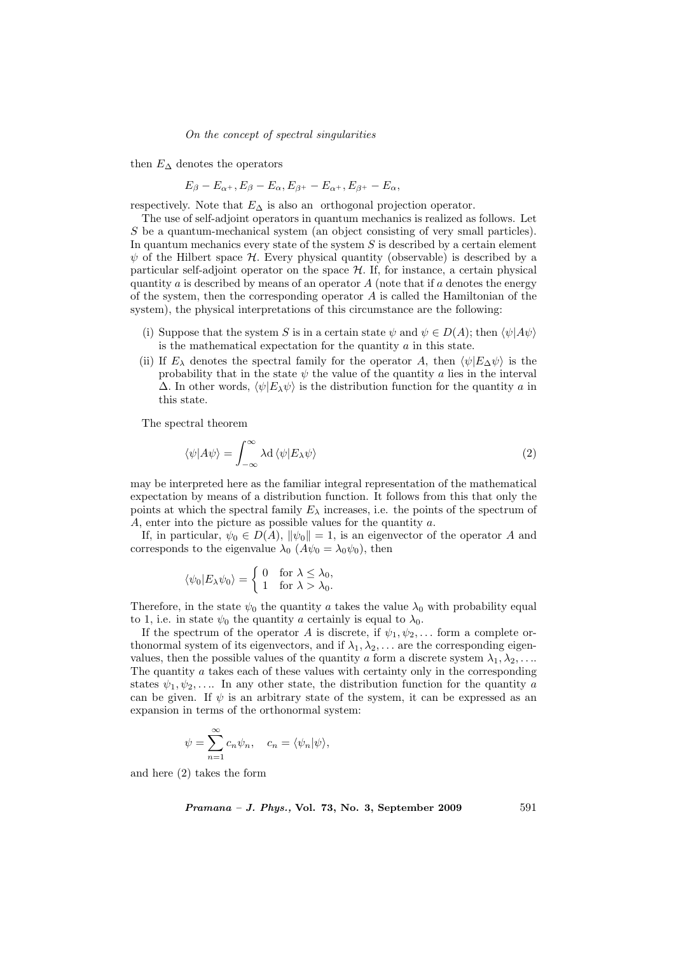then  $E_{\Delta}$  denotes the operators

$$
E_{\beta}-E_{\alpha^+}, E_{\beta}-E_{\alpha}, E_{\beta^+}-E_{\alpha^+}, E_{\beta^+}-E_{\alpha},
$$

respectively. Note that  $E_{\Delta}$  is also an orthogonal projection operator.

The use of self-adjoint operators in quantum mechanics is realized as follows. Let S be a quantum-mechanical system (an object consisting of very small particles). In quantum mechanics every state of the system  $S$  is described by a certain element  $\psi$  of the Hilbert space H. Every physical quantity (observable) is described by a particular self-adjoint operator on the space  $H$ . If, for instance, a certain physical quantity a is described by means of an operator  $A$  (note that if a denotes the energy of the system, then the corresponding operator  $A$  is called the Hamiltonian of the system), the physical interpretations of this circumstance are the following:

- (i) Suppose that the system S is in a certain state  $\psi$  and  $\psi \in D(A)$ ; then  $\langle \psi | A\psi \rangle$ is the mathematical expectation for the quantity  $\alpha$  in this state.
- (ii) If  $E_\lambda$  denotes the spectral family for the operator A, then  $\langle \psi | E_\Delta \psi \rangle$  is the probability that in the state  $\psi$  the value of the quantity a lies in the interval  $\Delta$ . In other words,  $\langle \psi | E_{\lambda} \psi \rangle$  is the distribution function for the quantity a in this state.

The spectral theorem

$$
\langle \psi | A \psi \rangle = \int_{-\infty}^{\infty} \lambda \mathrm{d} \, \langle \psi | E_{\lambda} \psi \rangle \tag{2}
$$

may be interpreted here as the familiar integral representation of the mathematical expectation by means of a distribution function. It follows from this that only the points at which the spectral family  $E_{\lambda}$  increases, i.e. the points of the spectrum of  $A$ , enter into the picture as possible values for the quantity  $a$ .

If, in particular,  $\psi_0 \in D(A)$ ,  $\|\psi_0\|=1$ , is an eigenvector of the operator A and corresponds to the eigenvalue  $\lambda_0$  ( $A\psi_0 = \lambda_0\psi_0$ ), then

$$
\langle \psi_0 | E_\lambda \psi_0 \rangle = \begin{cases} 0 & \text{for } \lambda \le \lambda_0, \\ 1 & \text{for } \lambda > \lambda_0. \end{cases}
$$

Therefore, in the state  $\psi_0$  the quantity a takes the value  $\lambda_0$  with probability equal to 1, i.e. in state  $\psi_0$  the quantity a certainly is equal to  $\lambda_0$ .

If the spectrum of the operator A is discrete, if  $\psi_1, \psi_2, \dots$  form a complete orthonormal system of its eigenvectors, and if  $\lambda_1, \lambda_2, \ldots$  are the corresponding eigenvalues, then the possible values of the quantity a form a discrete system  $\lambda_1, \lambda_2, \ldots$ The quantity a takes each of these values with certainty only in the corresponding states  $\psi_1, \psi_2, \ldots$  In any other state, the distribution function for the quantity a can be given. If  $\psi$  is an arbitrary state of the system, it can be expressed as an expansion in terms of the orthonormal system:

$$
\psi = \sum_{n=1}^{\infty} c_n \psi_n, \quad c_n = \langle \psi_n | \psi \rangle,
$$

and here (2) takes the form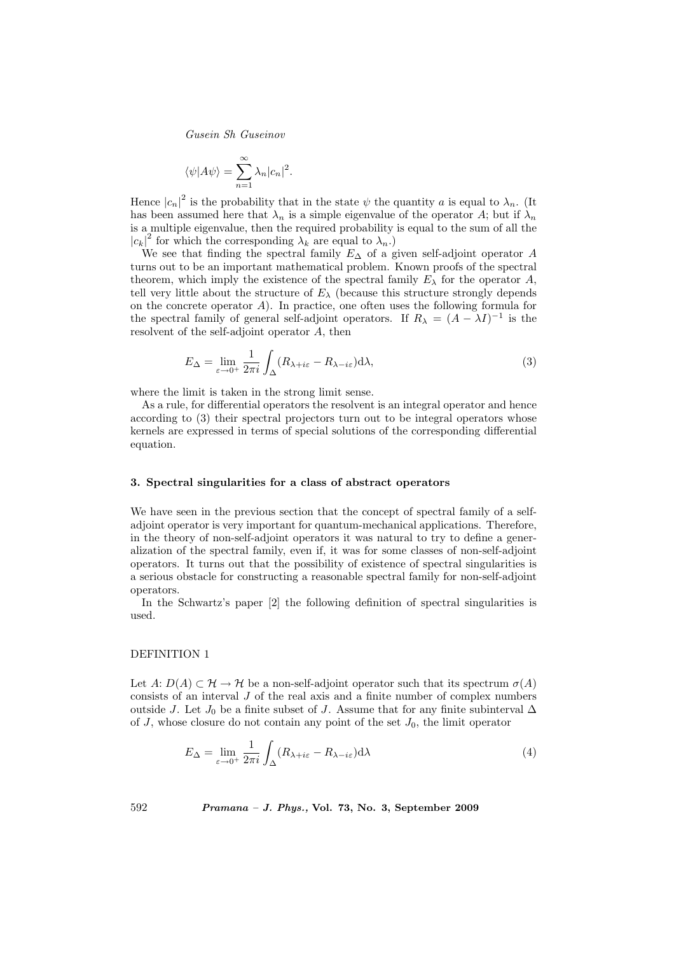$$
\langle \psi | A \psi \rangle = \sum_{n=1}^{\infty} \lambda_n |c_n|^2.
$$

Hence  $|c_n|^2$  is the probability that in the state  $\psi$  the quantity a is equal to  $\lambda_n$ . (It has been assumed here that  $\lambda_n$  is a simple eigenvalue of the operator A; but if  $\lambda_n$ is a multiple eigenvalue, then the required probability is equal to the sum of all the  $|c_k|^2$  for which the corresponding  $\lambda_k$  are equal to  $\lambda_n$ .

We see that finding the spectral family  $E_{\Delta}$  of a given self-adjoint operator A turns out to be an important mathematical problem. Known proofs of the spectral theorem, which imply the existence of the spectral family  $E_{\lambda}$  for the operator A, tell very little about the structure of  $E_{\lambda}$  (because this structure strongly depends on the concrete operator A). In practice, one often uses the following formula for the spectral family of general self-adjoint operators. If  $R_{\lambda} = (A - \lambda I)^{-1}$  is the resolvent of the self-adjoint operator A, then

$$
E_{\Delta} = \lim_{\varepsilon \to 0^+} \frac{1}{2\pi i} \int_{\Delta} (R_{\lambda + i\varepsilon} - R_{\lambda - i\varepsilon}) \mathrm{d}\lambda,\tag{3}
$$

where the limit is taken in the strong limit sense.

As a rule, for differential operators the resolvent is an integral operator and hence according to (3) their spectral projectors turn out to be integral operators whose kernels are expressed in terms of special solutions of the corresponding differential equation.

## 3. Spectral singularities for a class of abstract operators

We have seen in the previous section that the concept of spectral family of a selfadjoint operator is very important for quantum-mechanical applications. Therefore, in the theory of non-self-adjoint operators it was natural to try to define a generalization of the spectral family, even if, it was for some classes of non-self-adjoint operators. It turns out that the possibility of existence of spectral singularities is a serious obstacle for constructing a reasonable spectral family for non-self-adjoint operators.

In the Schwartz's paper [2] the following definition of spectral singularities is used.

#### DEFINITION 1

Let  $A: D(A) \subset \mathcal{H} \to \mathcal{H}$  be a non-self-adjoint operator such that its spectrum  $\sigma(A)$ consists of an interval J of the real axis and a finite number of complex numbers outside J. Let J<sub>0</sub> be a finite subset of J. Assume that for any finite subinterval  $\Delta$ of  $J$ , whose closure do not contain any point of the set  $J_0$ , the limit operator

$$
E_{\Delta} = \lim_{\varepsilon \to 0^+} \frac{1}{2\pi i} \int_{\Delta} (R_{\lambda + i\varepsilon} - R_{\lambda - i\varepsilon}) \mathrm{d}\lambda \tag{4}
$$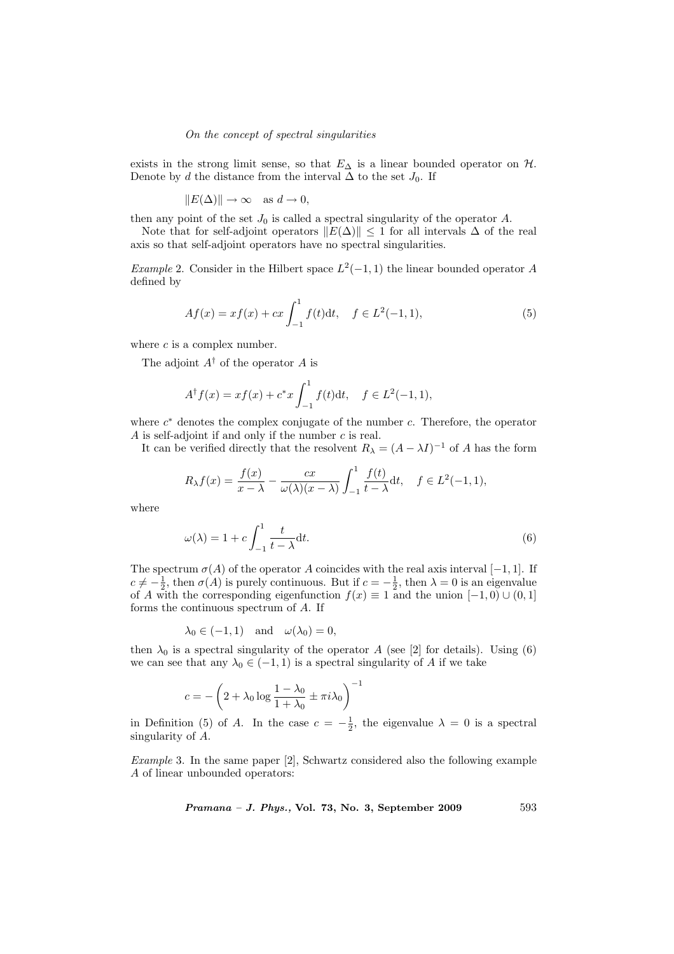exists in the strong limit sense, so that  $E_{\Delta}$  is a linear bounded operator on  $H$ . Denote by d the distance from the interval  $\Delta$  to the set  $J_0$ . If

$$
||E(\Delta)|| \to \infty \quad \text{as } d \to 0,
$$

then any point of the set  $J_0$  is called a spectral singularity of the operator  $A$ .

Note that for self-adjoint operators  $||E(\Delta)|| \le 1$  for all intervals  $\Delta$  of the real axis so that self-adjoint operators have no spectral singularities.

Example 2. Consider in the Hilbert space  $L^2(-1,1)$  the linear bounded operator A defined by

$$
Af(x) = xf(x) + cx \int_{-1}^{1} f(t)dt, \quad f \in L^{2}(-1, 1),
$$
\n(5)

where  $c$  is a complex number.

The adjoint  $A^{\dagger}$  of the operator A is

$$
A^{\dagger} f(x) = x f(x) + c^* x \int_{-1}^1 f(t) dt, \quad f \in L^2(-1, 1),
$$

where  $c^*$  denotes the complex conjugate of the number c. Therefore, the operator A is self-adjoint if and only if the number c is real.

It can be verified directly that the resolvent  $R_{\lambda} = (A - \lambda I)^{-1}$  of A has the form

$$
R_{\lambda}f(x) = \frac{f(x)}{x - \lambda} - \frac{cx}{\omega(\lambda)(x - \lambda)} \int_{-1}^{1} \frac{f(t)}{t - \lambda} dt, \quad f \in L^{2}(-1, 1),
$$

where

$$
\omega(\lambda) = 1 + c \int_{-1}^{1} \frac{t}{t - \lambda} dt.
$$
\n(6)

The spectrum  $\sigma(A)$  of the operator A coincides with the real axis interval [−1, 1]. If  $c \neq -\frac{1}{2}$ , then  $\sigma(A)$  is purely continuous. But if  $c = -\frac{1}{2}$ , then  $\lambda = 0$  is an eigenvalue of A with the corresponding eigenfunction  $f(x) \equiv 1$  and the union  $[-1, 0] \cup (0, 1]$ forms the continuous spectrum of A. If

$$
\lambda_0 \in (-1, 1)
$$
 and  $\omega(\lambda_0) = 0$ ,

then  $\lambda_0$  is a spectral singularity of the operator A (see [2] for details). Using (6) we can see that any  $\lambda_0 \in (-1,1)$  is a spectral singularity of A if we take

$$
c = -\left(2 + \lambda_0 \log \frac{1 - \lambda_0}{1 + \lambda_0} \pm \pi i \lambda_0\right)^{-1}
$$

in Definition (5) of A. In the case  $c = -\frac{1}{2}$ , the eigenvalue  $\lambda = 0$  is a spectral singularity of A.

Example 3. In the same paper [2], Schwartz considered also the following example A of linear unbounded operators:

$$
Pramana - J. Phys., Vol. 73, No. 3, September 2009 \t\t 593
$$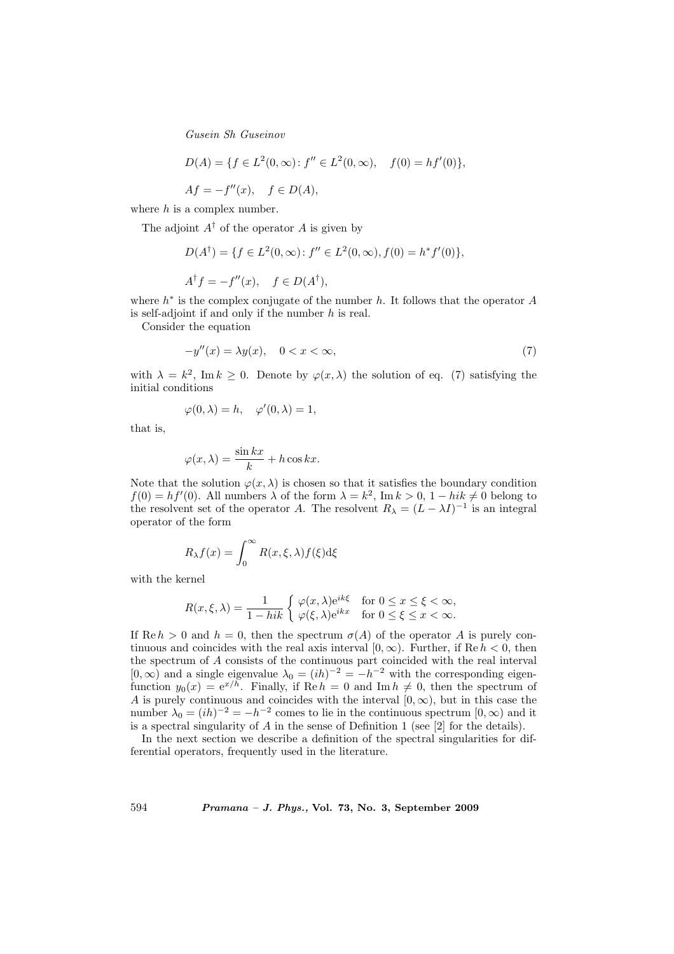$$
D(A) = \{ f \in L^2(0, \infty) : f'' \in L^2(0, \infty), \quad f(0) = h f'(0) \},
$$

 $Af = -f''(x), \quad f \in D(A),$ 

where  $h$  is a complex number.

The adjoint  $A^{\dagger}$  of the operator A is given by

$$
D(A^{\dagger}) = \{ f \in L^{2}(0, \infty) : f'' \in L^{2}(0, \infty), f(0) = h^{*} f'(0) \},
$$
  

$$
A^{\dagger} f = -f''(x), \quad f \in D(A^{\dagger}),
$$

where  $h^*$  is the complex conjugate of the number  $h$ . It follows that the operator  $A$ is self-adjoint if and only if the number h is real.

Consider the equation

$$
-y''(x) = \lambda y(x), \quad 0 < x < \infty,\tag{7}
$$

with  $\lambda = k^2$ , Im  $k \geq 0$ . Denote by  $\varphi(x, \lambda)$  the solution of eq. (7) satisfying the initial conditions

$$
\varphi(0,\lambda) = h, \quad \varphi'(0,\lambda) = 1,
$$

that is,

$$
\varphi(x,\lambda) = \frac{\sin kx}{k} + h\cos kx.
$$

Note that the solution  $\varphi(x, \lambda)$  is chosen so that it satisfies the boundary condition  $f(0) = hf'(0)$ . All numbers  $\lambda$  of the form  $\lambda = k^2$ , Im  $k > 0$ ,  $1 - hik \neq 0$  belong to the resolvent set of the operator A. The resolvent  $R_{\lambda} = (L - \lambda I)^{-1}$  is an integral operator of the form

$$
R_{\lambda}f(x) = \int_0^{\infty} R(x,\xi,\lambda)f(\xi)d\xi
$$

with the kernel

$$
R(x,\xi,\lambda) = \frac{1}{1 - hik} \begin{cases} \varphi(x,\lambda)e^{ik\xi} & \text{for } 0 \le x \le \xi < \infty, \\ \varphi(\xi,\lambda)e^{ikx} & \text{for } 0 \le \xi \le x < \infty. \end{cases}
$$

If Re  $h > 0$  and  $h = 0$ , then the spectrum  $\sigma(A)$  of the operator A is purely continuous and coincides with the real axis interval  $[0, \infty)$ . Further, if Re  $h < 0$ , then the spectrum of A consists of the continuous part coincided with the real interval  $[0, \infty)$  and a single eigenvalue  $\lambda_0 = (ih)^{-2} = -h^{-2}$  with the corresponding eigenfunction  $y_0(x) = e^{x/h}$ . Finally, if  $\text{Re } h = 0$  and  $\text{Im } h \neq 0$ , then the spectrum of A is purely continuous and coincides with the interval  $[0, \infty)$ , but in this case the number  $\lambda_0 = (ih)^{-2} = -h^{-2}$  comes to lie in the continuous spectrum  $[0, \infty)$  and it is a spectral singularity of A in the sense of Definition 1 (see [2] for the details).

In the next section we describe a definition of the spectral singularities for differential operators, frequently used in the literature.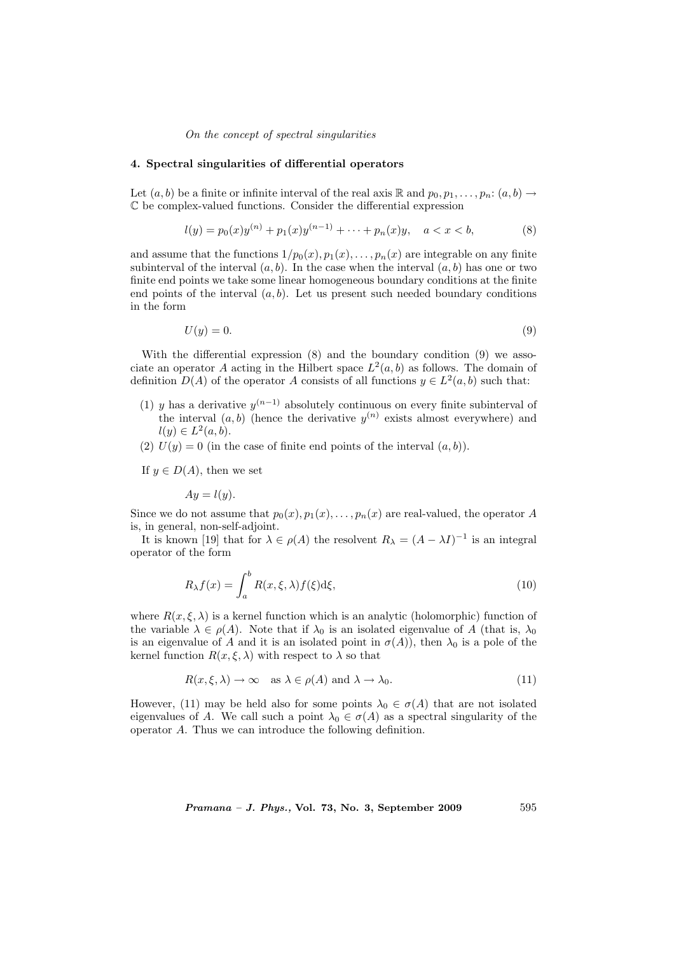## 4. Spectral singularities of differential operators

Let  $(a, b)$  be a finite or infinite interval of the real axis R and  $p_0, p_1, \ldots, p_n: (a, b) \rightarrow$ C be complex-valued functions. Consider the differential expression

$$
l(y) = p_0(x)y^{(n)} + p_1(x)y^{(n-1)} + \dots + p_n(x)y, \quad a < x < b,\tag{8}
$$

and assume that the functions  $1/p_0(x), p_1(x), \ldots, p_n(x)$  are integrable on any finite subinterval of the interval  $(a, b)$ . In the case when the interval  $(a, b)$  has one or two finite end points we take some linear homogeneous boundary conditions at the finite end points of the interval  $(a, b)$ . Let us present such needed boundary conditions in the form

$$
U(y) = 0.\t\t(9)
$$

With the differential expression  $(8)$  and the boundary condition  $(9)$  we associate an operator A acting in the Hilbert space  $L^2(a, b)$  as follows. The domain of definition  $D(A)$  of the operator A consists of all functions  $y \in L^2(a, b)$  such that:

- (1) y has a derivative  $y^{(n-1)}$  absolutely continuous on every finite subinterval of the interval  $(a, b)$  (hence the derivative  $y^{(n)}$  exists almost everywhere) and  $l(y) \in L^2(a, b).$
- (2)  $U(y) = 0$  (in the case of finite end points of the interval  $(a, b)$ ).

If  $y \in D(A)$ , then we set

 $Au = l(u)$ .

Since we do not assume that  $p_0(x), p_1(x), \ldots, p_n(x)$  are real-valued, the operator A is, in general, non-self-adjoint.

It is known [19] that for  $\lambda \in \rho(A)$  the resolvent  $R_{\lambda} = (A - \lambda I)^{-1}$  is an integral operator of the form

$$
R_{\lambda}f(x) = \int_{a}^{b} R(x,\xi,\lambda)f(\xi)d\xi,
$$
\n(10)

where  $R(x,\xi,\lambda)$  is a kernel function which is an analytic (holomorphic) function of the variable  $\lambda \in \rho(A)$ . Note that if  $\lambda_0$  is an isolated eigenvalue of A (that is,  $\lambda_0$ ) is an eigenvalue of A and it is an isolated point in  $\sigma(A)$ , then  $\lambda_0$  is a pole of the kernel function  $R(x,\xi,\lambda)$  with respect to  $\lambda$  so that

$$
R(x,\xi,\lambda) \to \infty \quad \text{as } \lambda \in \rho(A) \text{ and } \lambda \to \lambda_0. \tag{11}
$$

However, (11) may be held also for some points  $\lambda_0 \in \sigma(A)$  that are not isolated eigenvalues of A. We call such a point  $\lambda_0 \in \sigma(A)$  as a spectral singularity of the operator A. Thus we can introduce the following definition.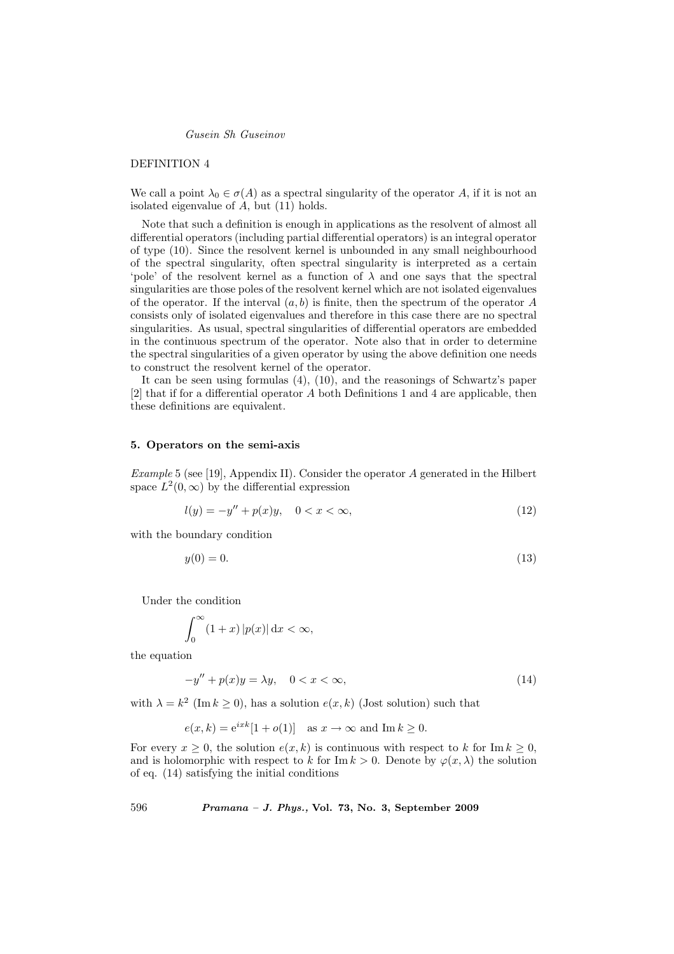## DEFINITION 4

We call a point  $\lambda_0 \in \sigma(A)$  as a spectral singularity of the operator A, if it is not an isolated eigenvalue of A, but (11) holds.

Note that such a definition is enough in applications as the resolvent of almost all differential operators (including partial differential operators) is an integral operator of type (10). Since the resolvent kernel is unbounded in any small neighbourhood of the spectral singularity, often spectral singularity is interpreted as a certain 'pole' of the resolvent kernel as a function of  $\lambda$  and one says that the spectral singularities are those poles of the resolvent kernel which are not isolated eigenvalues of the operator. If the interval  $(a, b)$  is finite, then the spectrum of the operator A consists only of isolated eigenvalues and therefore in this case there are no spectral singularities. As usual, spectral singularities of differential operators are embedded in the continuous spectrum of the operator. Note also that in order to determine the spectral singularities of a given operator by using the above definition one needs to construct the resolvent kernel of the operator.

It can be seen using formulas (4), (10), and the reasonings of Schwartz's paper  $[2]$  that if for a differential operator A both Definitions 1 and 4 are applicable, then these definitions are equivalent.

#### 5. Operators on the semi-axis

Example 5 (see [19], Appendix II). Consider the operator A generated in the Hilbert space  $L^2(0,\infty)$  by the differential expression

$$
l(y) = -y'' + p(x)y, \quad 0 < x < \infty,\tag{12}
$$

with the boundary condition

$$
y(0) = 0.\tag{13}
$$

Under the condition

$$
\int_0^\infty (1+x) |p(x)| \, \mathrm{d}x < \infty,
$$

the equation

$$
-y'' + p(x)y = \lambda y, \quad 0 < x < \infty,\tag{14}
$$

with  $\lambda = k^2$  (Im  $k \ge 0$ ), has a solution  $e(x, k)$  (Jost solution) such that

$$
e(x,k) = e^{ixk} [1 + o(1)] \text{ as } x \to \infty \text{ and } \text{Im } k \ge 0.
$$

For every  $x \geq 0$ , the solution  $e(x, k)$  is continuous with respect to k for Im  $k \geq 0$ , and is holomorphic with respect to k for Im  $k > 0$ . Denote by  $\varphi(x, \lambda)$  the solution of eq. (14) satisfying the initial conditions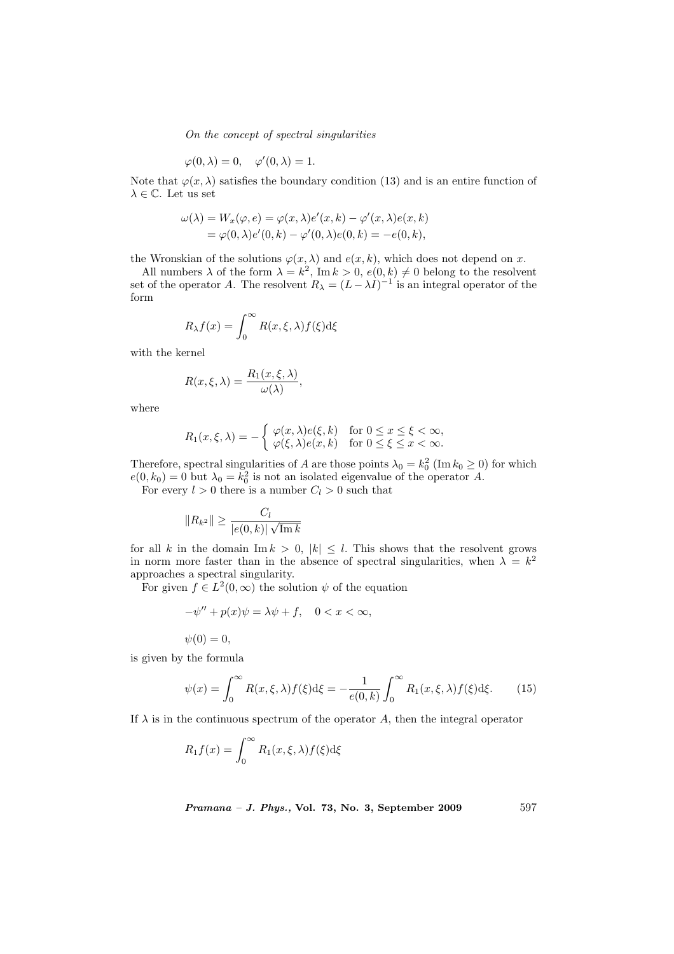$$
\varphi(0,\lambda) = 0, \quad \varphi'(0,\lambda) = 1.
$$

Note that  $\varphi(x, \lambda)$  satisfies the boundary condition (13) and is an entire function of  $\lambda \in \mathbb{C}$ . Let us set

$$
\omega(\lambda) = W_x(\varphi, e) = \varphi(x, \lambda)e'(x, k) - \varphi'(x, \lambda)e(x, k)
$$
  
=  $\varphi(0, \lambda)e'(0, k) - \varphi'(0, \lambda)e(0, k) = -e(0, k),$ 

the Wronskian of the solutions  $\varphi(x, \lambda)$  and  $e(x, k)$ , which does not depend on x.

All numbers  $\lambda$  of the form  $\lambda = k^2$ , Im  $k > 0$ ,  $e(0, k) \neq 0$  belong to the resolvent set of the operator A. The resolvent  $R_{\lambda} = (L - \lambda I)^{-1}$  is an integral operator of the form

$$
R_{\lambda}f(x) = \int_0^{\infty} R(x,\xi,\lambda)f(\xi)d\xi
$$

with the kernel

$$
R(x,\xi,\lambda) = \frac{R_1(x,\xi,\lambda)}{\omega(\lambda)},
$$

where

$$
R_1(x,\xi,\lambda) = -\begin{cases} \varphi(x,\lambda)e(\xi,k) & \text{for } 0 \le x \le \xi < \infty, \\ \varphi(\xi,\lambda)e(x,k) & \text{for } 0 \le \xi \le x < \infty. \end{cases}
$$

Therefore, spectral singularities of A are those points  $\lambda_0 = k_0^2$  (Im  $k_0 \ge 0$ ) for which  $e(0, k_0) = 0$  but  $\lambda_0 = k_0^2$  is not an isolated eigenvalue of the operator A.

For every  $l > 0$  there is a number  $C_l > 0$  such that

$$
||R_{k^2}|| \ge \frac{C_l}{|e(0,k)|\sqrt{\text{Im }k}}
$$

for all k in the domain  $\text{Im } k > 0, |k| \leq l$ . This shows that the resolvent grows in norm more faster than in the absence of spectral singularities, when  $\lambda = k^2$ approaches a spectral singularity.

For given  $f \in L^2(0, \infty)$  the solution  $\psi$  of the equation

$$
-\psi'' + p(x)\psi = \lambda\psi + f, \quad 0 < x < \infty,
$$

 $\psi(0) = 0,$ 

is given by the formula

$$
\psi(x) = \int_0^\infty R(x,\xi,\lambda)f(\xi)d\xi = -\frac{1}{e(0,k)}\int_0^\infty R_1(x,\xi,\lambda)f(\xi)d\xi.
$$
 (15)

If  $\lambda$  is in the continuous spectrum of the operator A, then the integral operator

$$
R_1 f(x) = \int_0^\infty R_1(x,\xi,\lambda) f(\xi) d\xi
$$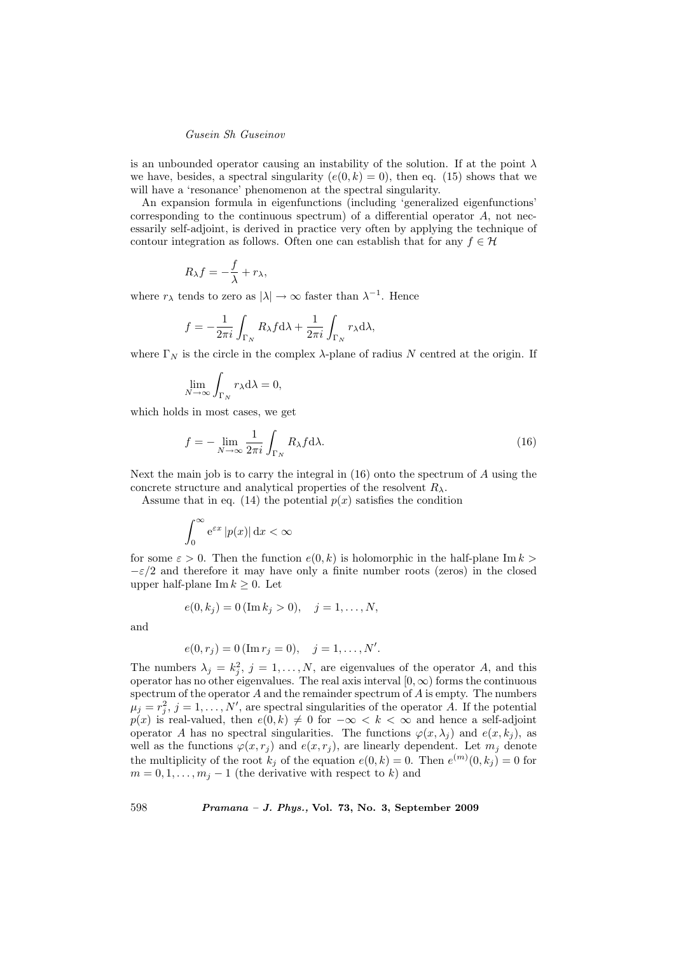is an unbounded operator causing an instability of the solution. If at the point  $\lambda$ we have, besides, a spectral singularity  $(e(0, k) = 0)$ , then eq. (15) shows that we will have a 'resonance' phenomenon at the spectral singularity.

An expansion formula in eigenfunctions (including 'generalized eigenfunctions' corresponding to the continuous spectrum) of a differential operator A, not necessarily self-adjoint, is derived in practice very often by applying the technique of contour integration as follows. Often one can establish that for any  $f \in \mathcal{H}$ 

$$
R_\lambda f = -\frac{f}{\lambda} + r_\lambda,
$$

where  $r_{\lambda}$  tends to zero as  $|\lambda| \to \infty$  faster than  $\lambda^{-1}$ . Hence

$$
f = -\frac{1}{2\pi i} \int_{\Gamma_N} R_{\lambda} f \mathrm{d}\lambda + \frac{1}{2\pi i} \int_{\Gamma_N} r_{\lambda} \mathrm{d}\lambda,
$$

where  $\Gamma_N$  is the circle in the complex  $\lambda$ -plane of radius N centred at the origin. If

$$
\lim_{N \to \infty} \int_{\Gamma_N} r_{\lambda} d\lambda = 0,
$$

which holds in most cases, we get

$$
f = -\lim_{N \to \infty} \frac{1}{2\pi i} \int_{\Gamma_N} R_\lambda f \, \mathrm{d}\lambda. \tag{16}
$$

Next the main job is to carry the integral in (16) onto the spectrum of A using the concrete structure and analytical properties of the resolvent  $R_{\lambda}$ .

Assume that in eq. (14) the potential  $p(x)$  satisfies the condition

$$
\int_0^\infty e^{\varepsilon x} |p(x)| \, \mathrm{d}x < \infty
$$

for some  $\varepsilon > 0$ . Then the function  $e(0, k)$  is holomorphic in the half-plane Im  $k > 0$ .  $-\varepsilon/2$  and therefore it may have only a finite number roots (zeros) in the closed upper half-plane Im  $k \geq 0$ . Let

$$
e(0, k_j) = 0 \, (\text{Im } k_j > 0), \quad j = 1, \dots, N,
$$

and

$$
e(0, r_j) = 0 \, (\text{Im } r_j = 0), \quad j = 1, \dots, N'.
$$

The numbers  $\lambda_j = k_j^2$ ,  $j = 1, ..., N$ , are eigenvalues of the operator A, and this operator has no other eigenvalues. The real axis interval  $[0, \infty)$  forms the continuous spectrum of the operator  $A$  and the remainder spectrum of  $A$  is empty. The numbers  $\mu_j = r_j^2$ ,  $j = 1, \ldots, N'$ , are spectral singularities of the operator A. If the potential  $p(x)$  is real-valued, then  $e(0, k) \neq 0$  for  $-\infty < k < \infty$  and hence a self-adjoint operator A has no spectral singularities. The functions  $\varphi(x, \lambda_i)$  and  $e(x, k_i)$ , as well as the functions  $\varphi(x, r_j)$  and  $e(x, r_j)$ , are linearly dependent. Let  $m_j$  denote the multiplicity of the root  $k_j$  of the equation  $e(0, k) = 0$ . Then  $e^{(m)}(0, k_j) = 0$  for  $m = 0, 1, \ldots, m_j - 1$  (the derivative with respect to k) and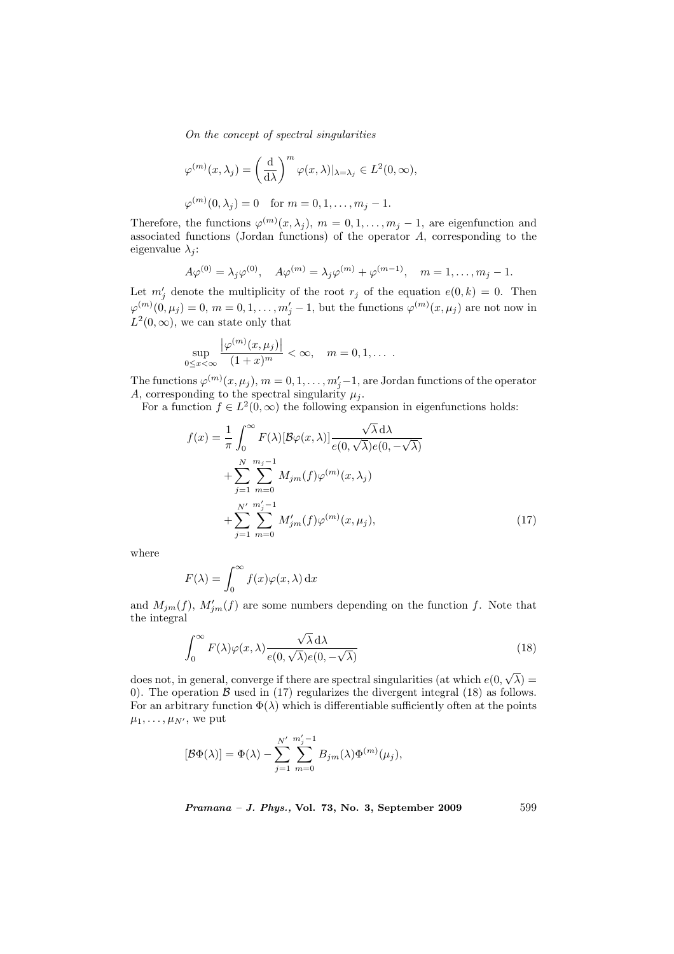$$
\varphi^{(m)}(x,\lambda_j) = \left(\frac{\mathrm{d}}{\mathrm{d}\lambda}\right)^m \varphi(x,\lambda)|_{\lambda=\lambda_j} \in L^2(0,\infty),
$$
  

$$
\varphi^{(m)}(0,\lambda_j) = 0 \quad \text{for } m = 0, 1, \dots, m_j - 1.
$$

Therefore, the functions  $\varphi^{(m)}(x,\lambda_j), m = 0,1,\ldots,m_j-1$ , are eigenfunction and associated functions (Jordan functions) of the operator A, corresponding to the eigenvalue  $\lambda_i$ :

$$
A\varphi^{(0)} = \lambda_j \varphi^{(0)}, \quad A\varphi^{(m)} = \lambda_j \varphi^{(m)} + \varphi^{(m-1)}, \quad m = 1, ..., m_j - 1.
$$

Let  $m'_j$  denote the multiplicity of the root  $r_j$  of the equation  $e(0, k) = 0$ . Then  $\varphi^{(m)}(0,\mu_j) = 0, m = 0, 1, \ldots, m'_j - 1$ , but the functions  $\varphi^{(m)}(x,\mu_j)$  are not now in  $L^2(0,\infty)$ , we can state only that

$$
\sup_{0\leq x<\infty}\frac{|\varphi^{(m)}(x,\mu_j)|}{(1+x)^m}<\infty,\quad m=0,1,\ldots.
$$

The functions  $\varphi^{(m)}(x,\mu_j),\,m=0,1,\ldots,m'_j-1,$  are Jordan functions of the operator A, corresponding to the spectral singularity  $\mu_j$ .

For a function  $f \in L^2(0,\infty)$  the following expansion in eigenfunctions holds:

$$
f(x) = \frac{1}{\pi} \int_0^{\infty} F(\lambda) [\mathcal{B}\varphi(x,\lambda)] \frac{\sqrt{\lambda} d\lambda}{e(0,\sqrt{\lambda})e(0,-\sqrt{\lambda})}
$$
  
+ 
$$
\sum_{j=1}^N \sum_{m=0}^{m_j-1} M_{jm}(f)\varphi^{(m)}(x,\lambda_j)
$$
  
+ 
$$
\sum_{j=1}^N \sum_{m=0}^{m_j'-1} M'_{jm}(f)\varphi^{(m)}(x,\mu_j),
$$
 (17)

where

$$
F(\lambda) = \int_0^\infty f(x)\varphi(x,\lambda) \,\mathrm{d}x
$$

and  $M_{jm}(f)$ ,  $M'_{jm}(f)$  are some numbers depending on the function f. Note that the integral

$$
\int_0^\infty F(\lambda)\varphi(x,\lambda)\frac{\sqrt{\lambda}\,\mathrm{d}\lambda}{e(0,\sqrt{\lambda})e(0,-\sqrt{\lambda})}\tag{18}
$$

does not, in general, converge if there are spectral singularities (at which  $e(0,$ √  $\lambda) =$ 0). The operation  $\beta$  used in (17) regularizes the divergent integral (18) as follows. For an arbitrary function  $\Phi(\lambda)$  which is differentiable sufficiently often at the points  $\mu_1, \ldots, \mu_{N'}$ , we put

$$
[\mathcal{B}\Phi(\lambda)] = \Phi(\lambda) - \sum_{j=1}^{N'} \sum_{m=0}^{m'_j - 1} B_{jm}(\lambda) \Phi^{(m)}(\mu_j),
$$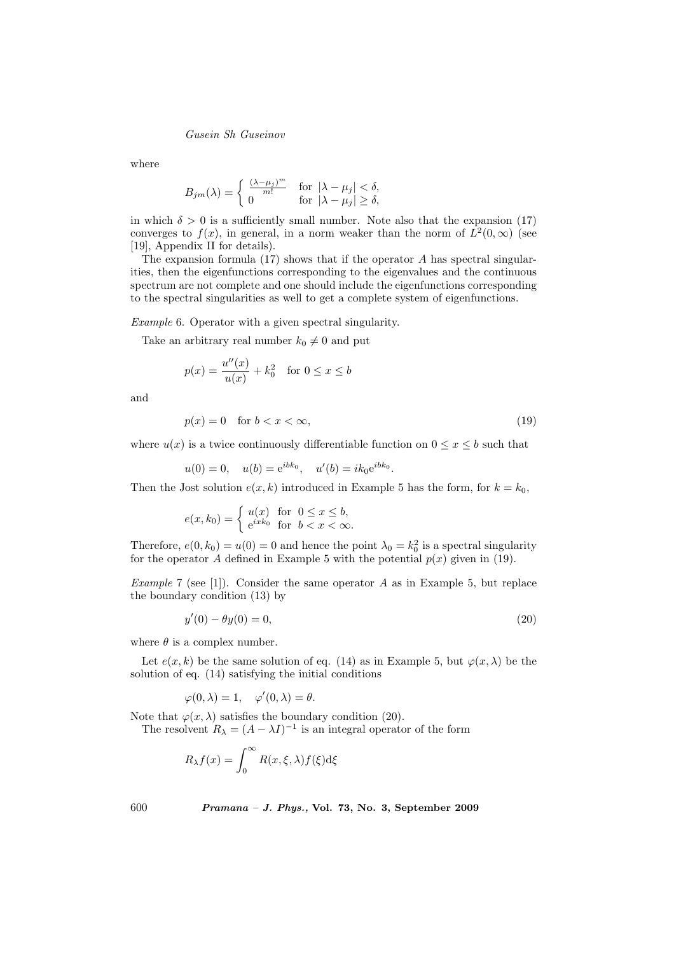where

$$
B_{jm}(\lambda) = \begin{cases} \frac{(\lambda - \mu_j)^m}{m!} & \text{for } |\lambda - \mu_j| < \delta, \\ 0 & \text{for } |\lambda - \mu_j| \ge \delta, \end{cases}
$$

in which  $\delta > 0$  is a sufficiently small number. Note also that the expansion (17) converges to  $f(x)$ , in general, in a norm weaker than the norm of  $L^2(0,\infty)$  (see [19], Appendix II for details).

The expansion formula  $(17)$  shows that if the operator A has spectral singularities, then the eigenfunctions corresponding to the eigenvalues and the continuous spectrum are not complete and one should include the eigenfunctions corresponding to the spectral singularities as well to get a complete system of eigenfunctions.

Example 6. Operator with a given spectral singularity.

Take an arbitrary real number  $k_0 \neq 0$  and put

$$
p(x) = \frac{u''(x)}{u(x)} + k_0^2
$$
 for  $0 \le x \le b$ 

and

$$
p(x) = 0 \quad \text{for } b < x < \infty,\tag{19}
$$

where  $u(x)$  is a twice continuously differentiable function on  $0 \leq x \leq b$  such that

 $u(0) = 0$ ,  $u(b) = e^{ibk_0}$ ,  $u'(b) = ik_0e^{ibk_0}$ .

Then the Jost solution  $e(x, k)$  introduced in Example 5 has the form, for  $k = k_0$ ,

$$
e(x, k_0) = \begin{cases} u(x) & \text{for } 0 \le x \le b, \\ e^{ixk_0} & \text{for } b < x < \infty. \end{cases}
$$

Therefore,  $e(0, k_0) = u(0) = 0$  and hence the point  $\lambda_0 = k_0^2$  is a spectral singularity for the operator A defined in Example 5 with the potential  $p(x)$  given in (19).

*Example* 7 (see [1]). Consider the same operator  $A$  as in Example 5, but replace the boundary condition (13) by

$$
y'(0) - \theta y(0) = 0,\t(20)
$$

where  $\theta$  is a complex number.

Let  $e(x, k)$  be the same solution of eq. (14) as in Example 5, but  $\varphi(x, \lambda)$  be the solution of eq. (14) satisfying the initial conditions

 $\varphi(0,\lambda) = 1, \quad \varphi'(0,\lambda) = \theta.$ 

Note that  $\varphi(x, \lambda)$  satisfies the boundary condition (20).

The resolvent  $R_{\lambda} = (A - \lambda I)^{-1}$  is an integral operator of the form

$$
R_{\lambda}f(x) = \int_0^{\infty} R(x,\xi,\lambda)f(\xi) d\xi
$$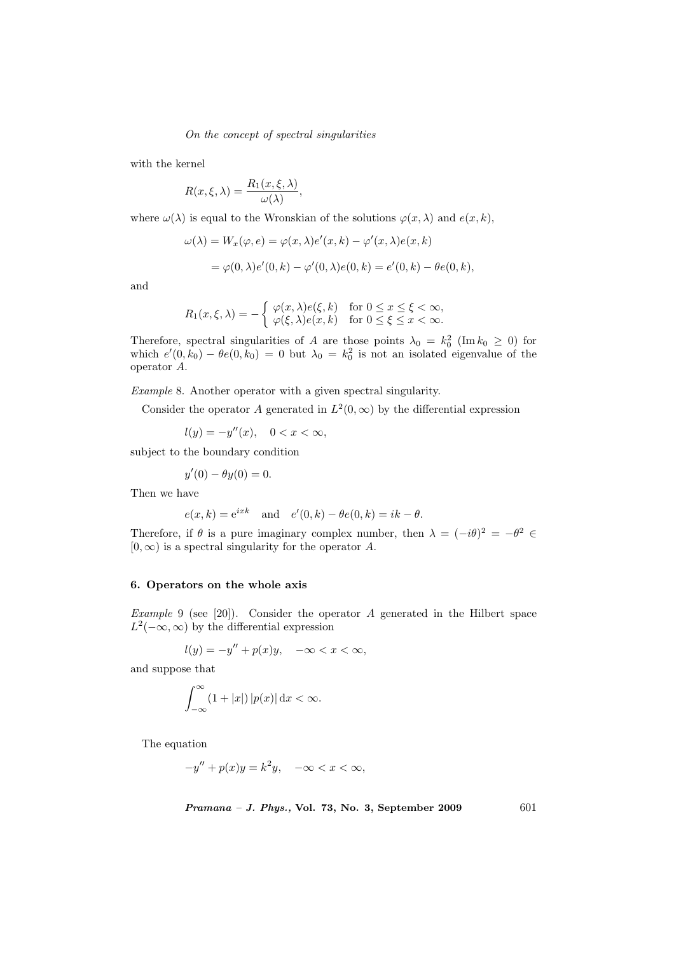with the kernel

$$
R(x,\xi,\lambda) = \frac{R_1(x,\xi,\lambda)}{\omega(\lambda)},
$$

where  $\omega(\lambda)$  is equal to the Wronskian of the solutions  $\varphi(x, \lambda)$  and  $e(x, k)$ ,

$$
\omega(\lambda) = W_x(\varphi, e) = \varphi(x, \lambda)e'(x, k) - \varphi'(x, \lambda)e(x, k)
$$
  
=  $\varphi(0, \lambda)e'(0, k) - \varphi'(0, \lambda)e(0, k) = e'(0, k) - \theta e(0, k),$ 

and

$$
R_1(x,\xi,\lambda) = -\begin{cases} \varphi(x,\lambda)e(\xi,k) & \text{for } 0 \le x \le \xi < \infty, \\ \varphi(\xi,\lambda)e(x,k) & \text{for } 0 \le \xi \le x < \infty. \end{cases}
$$

Therefore, spectral singularities of A are those points  $\lambda_0 = k_0^2$  (Im  $k_0 \geq 0$ ) for which  $e'(0, k_0) - \theta e(0, k_0) = 0$  but  $\lambda_0 = k_0^2$  is not an isolated eigenvalue of the operator A.

Example 8. Another operator with a given spectral singularity.

Consider the operator A generated in  $L^2(0,\infty)$  by the differential expression

 $l(y) = -y''(x), \quad 0 < x < \infty,$ 

subject to the boundary condition

 $y'(0) - \theta y(0) = 0.$ 

Then we have

$$
e(x,k) = e^{ixk}
$$
 and  $e'(0,k) - \theta e(0,k) = ik - \theta$ .

Therefore, if  $\theta$  is a pure imaginary complex number, then  $\lambda = (-i\theta)^2 = -\theta^2 \in$  $[0, \infty)$  is a spectral singularity for the operator A.

## 6. Operators on the whole axis

Example 9 (see [20]). Consider the operator A generated in the Hilbert space  $L^2(-\infty,\infty)$  by the differential expression

$$
l(y) = -y'' + p(x)y, \quad -\infty < x < \infty,
$$

and suppose that

$$
\int_{-\infty}^{\infty} (1+|x|) |p(x)| \, \mathrm{d}x < \infty.
$$

The equation

$$
-y'' + p(x)y = k^2y, \quad -\infty < x < \infty,
$$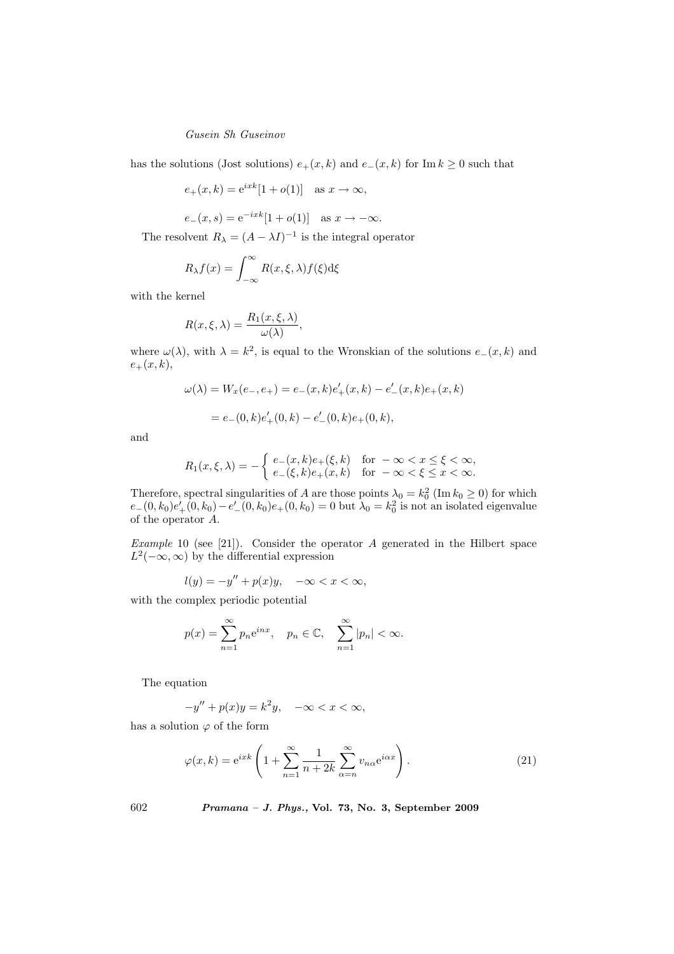has the solutions (Jost solutions)  $e_+(x, k)$  and  $e_-(x, k)$  for Im  $k \geq 0$  such that

$$
e_{+}(x,k) = e^{ixk}[1 + o(1)]
$$
 as  $x \to \infty$ ,

$$
e_-(x, s) = e^{-ixk}[1 + o(1)]
$$
 as  $x \to -\infty$ .

The resolvent  $R_{\lambda} = (A - \lambda I)^{-1}$  is the integral operator

$$
R_{\lambda}f(x) = \int_{-\infty}^{\infty} R(x,\xi,\lambda)f(\xi)d\xi
$$

with the kernel

$$
R(x,\xi,\lambda)=\frac{R_1(x,\xi,\lambda)}{\omega(\lambda)},
$$

where  $\omega(\lambda)$ , with  $\lambda = k^2$ , is equal to the Wronskian of the solutions  $e_-(x, k)$  and  $e_{+}(x, k),$ 

$$
\omega(\lambda) = W_x(e_-, e_+) = e_-(x, k)e'_+(x, k) - e'_-(x, k)e_+(x, k)
$$

$$
= e_{-}(0,k)e'_{+}(0,k) - e'_{-}(0,k)e_{+}(0,k),
$$

and

$$
R_1(x,\xi,\lambda) = -\begin{cases} e_-(x,k)e_+(\xi,k) & \text{for } -\infty < x \le \xi < \infty, \\ e_-(\xi,k)e_+(x,k) & \text{for } -\infty < \xi \le x < \infty. \end{cases}
$$

Therefore, spectral singularities of A are those points  $\lambda_0 = k_0^2$  (Im  $k_0 \ge 0$ ) for which  $e_{-}(0, k_0)e'_{+}(0, k_0) - e'_{-}(0, k_0)e_{+}(0, k_0) = 0$  but  $\lambda_0 = k_0^2$  is not an isolated eigenvalue of the operator A.

Example 10 (see [21]). Consider the operator  $A$  generated in the Hilbert space  $L^2(-\infty,\infty)$  by the differential expression

$$
l(y) = -y'' + p(x)y, \quad -\infty < x < \infty,
$$

with the complex periodic potential

$$
p(x) = \sum_{n=1}^{\infty} p_n e^{inx}, \quad p_n \in \mathbb{C}, \quad \sum_{n=1}^{\infty} |p_n| < \infty.
$$

The equation

$$
-y'' + p(x)y = k^2y, \quad -\infty < x < \infty,
$$

has a solution  $\varphi$  of the form

$$
\varphi(x,k) = e^{ixk} \left( 1 + \sum_{n=1}^{\infty} \frac{1}{n+2k} \sum_{\alpha=n}^{\infty} v_{n\alpha} e^{i\alpha x} \right). \tag{21}
$$